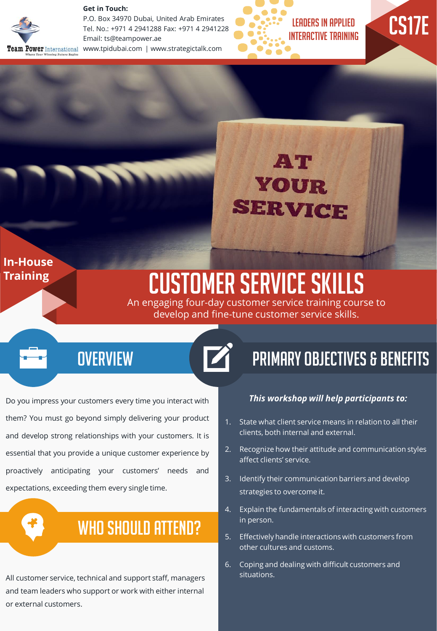

**Get in Touch:** 

P.O. Box 34970 Dubai, United Arab Emirates Tel. No.: +971 4 2941288 Fax: +971 4 2941228 Email: ts@teampower.ae Team Power International www.tpidubai.com | www.strategictalk.com



CS17E



#### **In-House Training**

# Customer Service Skills

An engaging four-day customer service training course to develop and fine-tune customer service skills.

#### **OVERVIEW**

Do you impress your customers every time you interact with them? You must go beyond simply delivering your product and develop strong relationships with your customers. It is essential that you provide a unique customer experience by proactively anticipating your customers' needs and expectations, exceeding them every single time.

### WHO SHOULD ATTEND?

All customer service, technical and support staff, managers and team leaders who support or work with either internal or external customers.

### Primary Objectives & Benefits

#### *This workshop will help participants to:*

- 1. State what client service means in relation to all their clients, both internal and external.
- 2. Recognize how their attitude and communication styles affect clients' service.
- 3. Identify their communication barriers and develop strategies to overcome it.
- 4. Explain the fundamentals of interacting with customers in person.
- 5. Effectively handle interactions with customers from other cultures and customs.
- 6. Coping and dealing with difficult customers and situations.